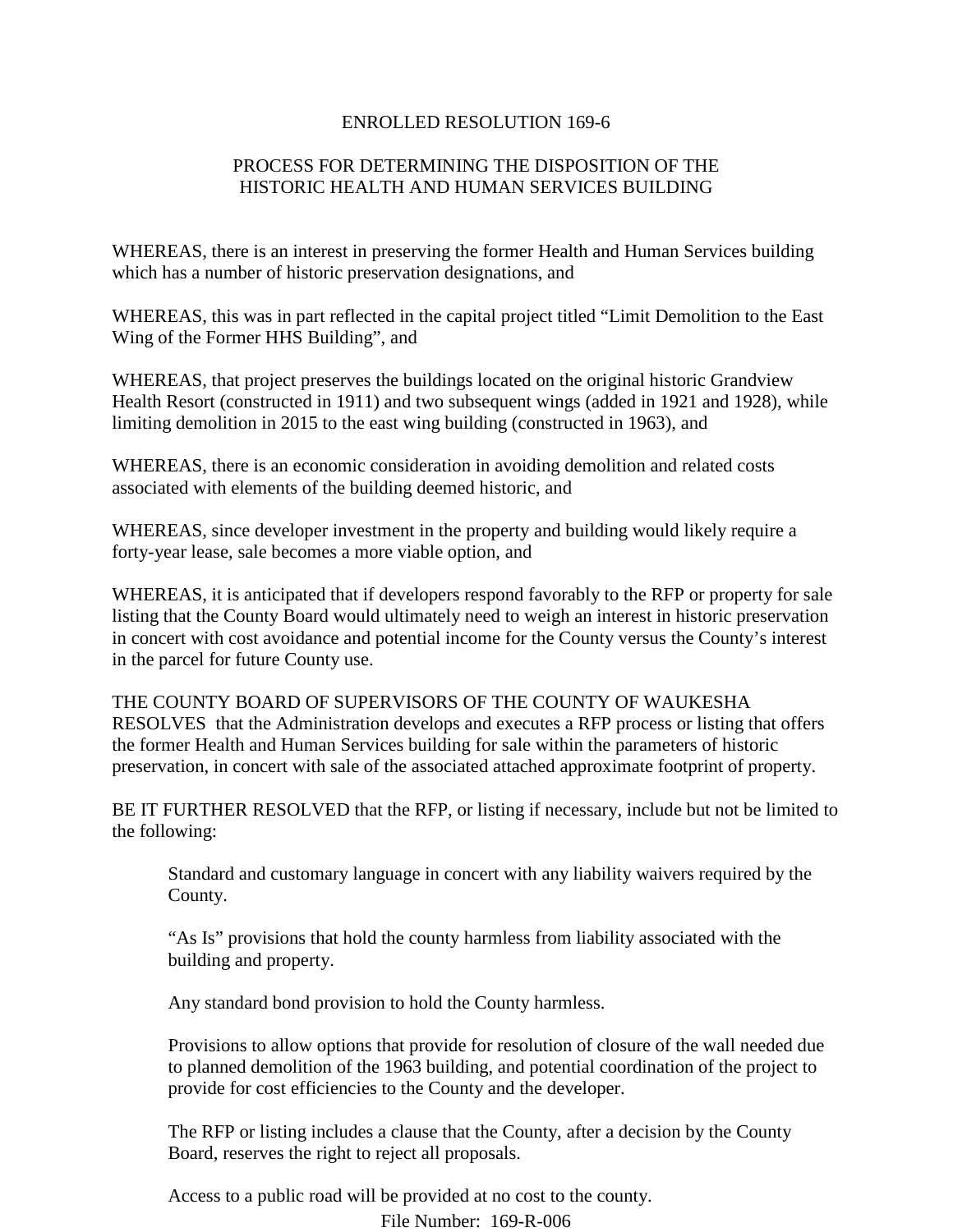## ENROLLED RESOLUTION 169-6

## PROCESS FOR DETERMINING THE DISPOSITION OF THE HISTORIC HEALTH AND HUMAN SERVICES BUILDING

WHEREAS, there is an interest in preserving the former Health and Human Services building which has a number of historic preservation designations, and

WHEREAS, this was in part reflected in the capital project titled "Limit Demolition to the East Wing of the Former HHS Building", and

WHEREAS, that project preserves the buildings located on the original historic Grandview Health Resort (constructed in 1911) and two subsequent wings (added in 1921 and 1928), while limiting demolition in 2015 to the east wing building (constructed in 1963), and

WHEREAS, there is an economic consideration in avoiding demolition and related costs associated with elements of the building deemed historic, and

WHEREAS, since developer investment in the property and building would likely require a forty-year lease, sale becomes a more viable option, and

WHEREAS, it is anticipated that if developers respond favorably to the RFP or property for sale listing that the County Board would ultimately need to weigh an interest in historic preservation in concert with cost avoidance and potential income for the County versus the County's interest in the parcel for future County use.

THE COUNTY BOARD OF SUPERVISORS OF THE COUNTY OF WAUKESHA RESOLVES that the Administration develops and executes a RFP process or listing that offers the former Health and Human Services building for sale within the parameters of historic preservation, in concert with sale of the associated attached approximate footprint of property.

BE IT FURTHER RESOLVED that the RFP, or listing if necessary, include but not be limited to the following:

Standard and customary language in concert with any liability waivers required by the County.

"As Is" provisions that hold the county harmless from liability associated with the building and property.

Any standard bond provision to hold the County harmless.

Provisions to allow options that provide for resolution of closure of the wall needed due to planned demolition of the 1963 building, and potential coordination of the project to provide for cost efficiencies to the County and the developer.

The RFP or listing includes a clause that the County, after a decision by the County Board, reserves the right to reject all proposals.

Access to a public road will be provided at no cost to the county.

File Number: 169-R-006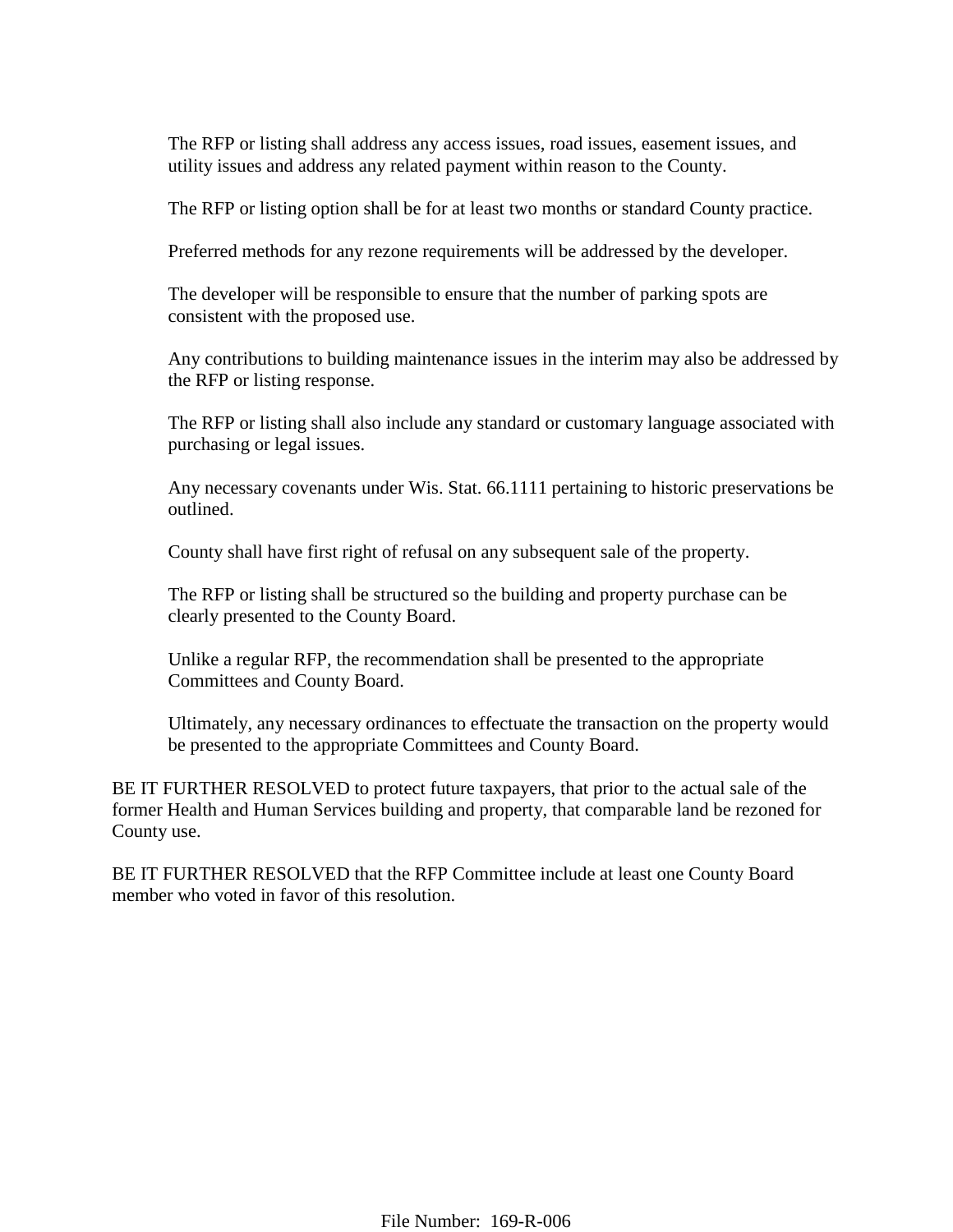The RFP or listing shall address any access issues, road issues, easement issues, and utility issues and address any related payment within reason to the County.

The RFP or listing option shall be for at least two months or standard County practice.

Preferred methods for any rezone requirements will be addressed by the developer.

The developer will be responsible to ensure that the number of parking spots are consistent with the proposed use.

Any contributions to building maintenance issues in the interim may also be addressed by the RFP or listing response.

The RFP or listing shall also include any standard or customary language associated with purchasing or legal issues.

Any necessary covenants under Wis. Stat. 66.1111 pertaining to historic preservations be outlined.

County shall have first right of refusal on any subsequent sale of the property.

The RFP or listing shall be structured so the building and property purchase can be clearly presented to the County Board.

Unlike a regular RFP, the recommendation shall be presented to the appropriate Committees and County Board.

Ultimately, any necessary ordinances to effectuate the transaction on the property would be presented to the appropriate Committees and County Board.

BE IT FURTHER RESOLVED to protect future taxpayers, that prior to the actual sale of the former Health and Human Services building and property, that comparable land be rezoned for County use.

BE IT FURTHER RESOLVED that the RFP Committee include at least one County Board member who voted in favor of this resolution.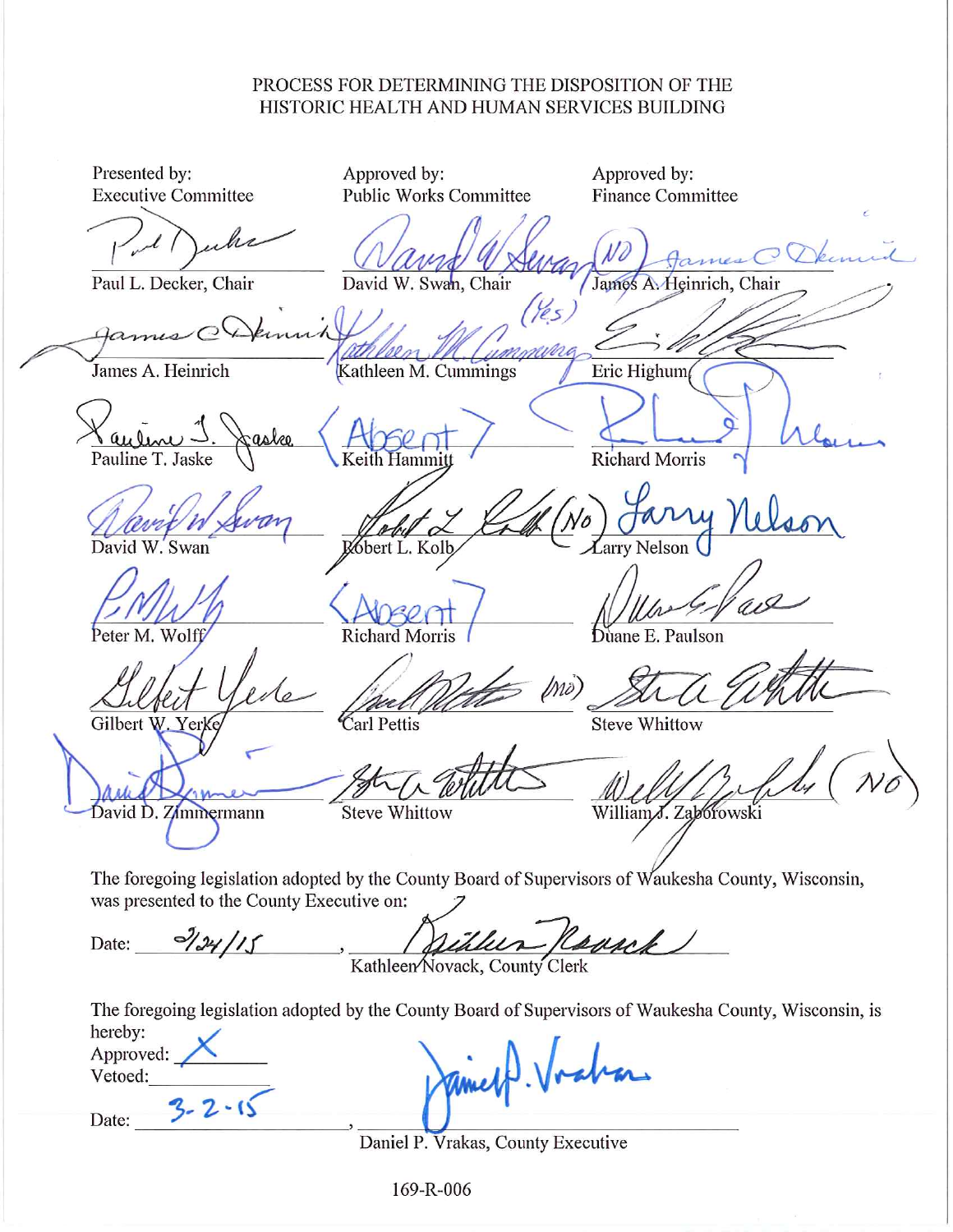## PROCESS FOR DETERMINING THE DISPOSITION OF THE HISTORIC HEALTH AND HUMAN SERVICES BUILDING

Presented by: Approved by: Approved by: **Executive Committee Public Works Committee Finance Committee** Paul L. Decker, Chair David W. Swan, Chair James A. Heinrich, Chair ummuni James A. Heinrich Kathleen M. Cummings Eric Highum Pauline T. Jaske **Richard Morris** bert L. Kolb Swan arry Nelson Peter M. Wolff **Richard Morris** Duane E. Paulson lno) **Steve Whittow** Carl Pettis Gilbert W. Yerke David D. Zimmermann **Steve Whittow** William.J. Zaborowski The foregoing legislation adopted by the County Board of Supervisors of Waukesha County, Wisconsin, was presented to the County Executive on: 2124/15 surt Date: ilus, Kathleen Novack, County Clerk The foregoing legislation adopted by the County Board of Supervisors of Waukesha County, Wisconsin, is hereby: Approved: Vetoed: Date:

Daniel P. Vrakas, County Executive

169-R-006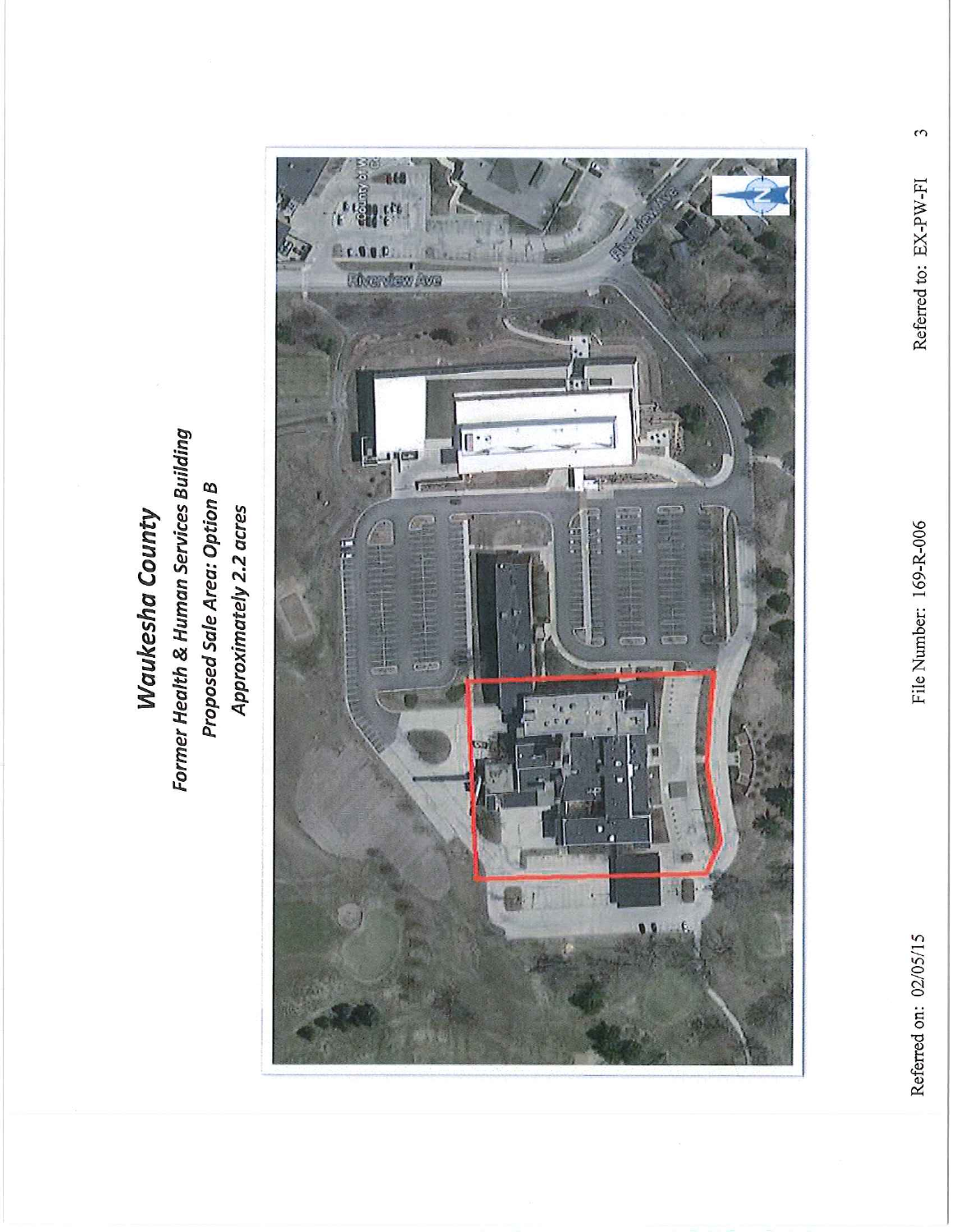Former Health & Human Services Building **Proposed Sale Area: Option B** Approximately 2.2 acres **Waukesha County** 



 $\omega$